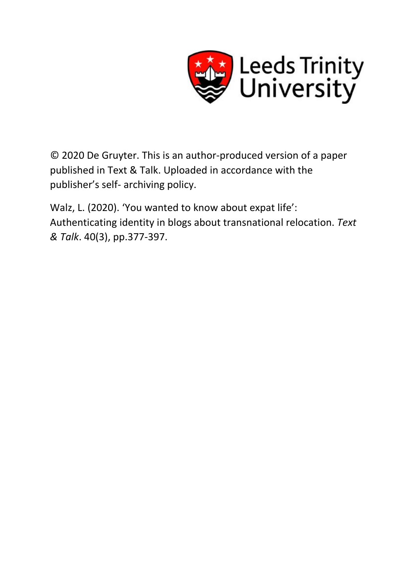

© 2020 De Gruyter. This is an author-produced version of a paper published in Text & Talk. Uploaded in accordance with the publisher's self- archiving policy.

Walz, L. (2020). 'You wanted to know about expat life': Authenticating identity in blogs about transnational relocation. *Text & Talk*. 40(3), pp.377-397.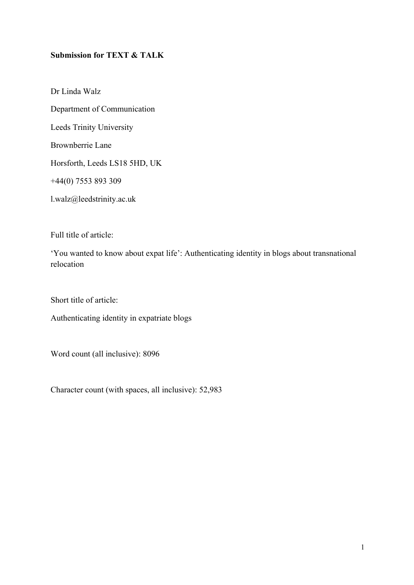# **Submission for TEXT & TALK**

Dr Linda Walz Department of Communication Leeds Trinity University Brownberrie Lane Horsforth, Leeds LS18 5HD, UK +44(0) 7553 893 309 l.walz@leedstrinity.ac.uk

Full title of article:

'You wanted to know about expat life': Authenticating identity in blogs about transnational relocation

Short title of article:

Authenticating identity in expatriate blogs

Word count (all inclusive): 8096

Character count (with spaces, all inclusive): 52,983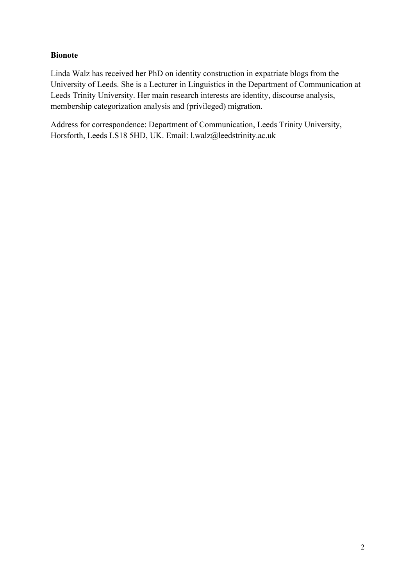# **Bionote**

Linda Walz has received her PhD on identity construction in expatriate blogs from the University of Leeds. She is a Lecturer in Linguistics in the Department of Communication at Leeds Trinity University. Her main research interests are identity, discourse analysis, membership categorization analysis and (privileged) migration.

Address for correspondence: Department of Communication, Leeds Trinity University, Horsforth, Leeds LS18 5HD, UK. Email: l.walz@leedstrinity.ac.uk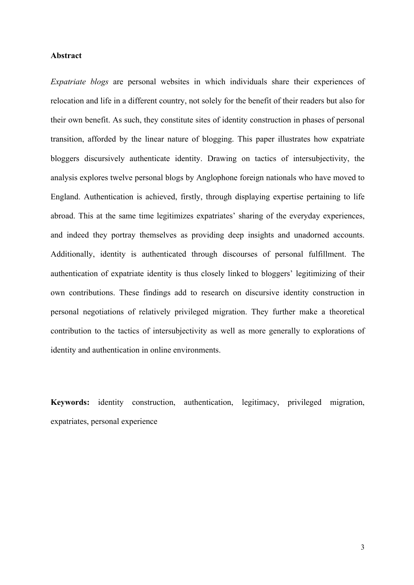## **Abstract**

*Expatriate blogs* are personal websites in which individuals share their experiences of relocation and life in a different country, not solely for the benefit of their readers but also for their own benefit. As such, they constitute sites of identity construction in phases of personal transition, afforded by the linear nature of blogging. This paper illustrates how expatriate bloggers discursively authenticate identity. Drawing on tactics of intersubjectivity, the analysis explores twelve personal blogs by Anglophone foreign nationals who have moved to England. Authentication is achieved, firstly, through displaying expertise pertaining to life abroad. This at the same time legitimizes expatriates' sharing of the everyday experiences, and indeed they portray themselves as providing deep insights and unadorned accounts. Additionally, identity is authenticated through discourses of personal fulfillment. The authentication of expatriate identity is thus closely linked to bloggers' legitimizing of their own contributions. These findings add to research on discursive identity construction in personal negotiations of relatively privileged migration. They further make a theoretical contribution to the tactics of intersubjectivity as well as more generally to explorations of identity and authentication in online environments.

**Keywords:** identity construction, authentication, legitimacy, privileged migration, expatriates, personal experience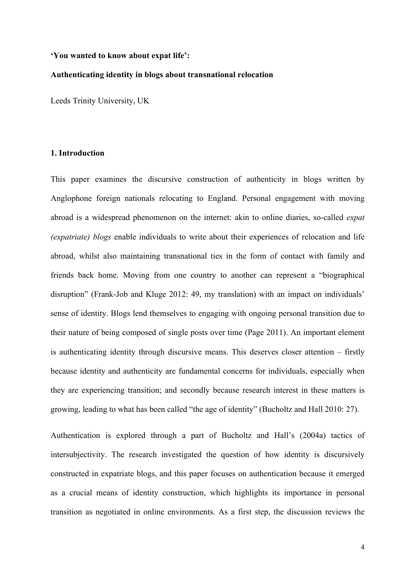#### **'You wanted to know about expat life':**

#### **Authenticating identity in blogs about transnational relocation**

Leeds Trinity University, UK

#### **1. Introduction**

This paper examines the discursive construction of authenticity in blogs written by Anglophone foreign nationals relocating to England. Personal engagement with moving abroad is a widespread phenomenon on the internet: akin to online diaries, so-called *expat (expatriate) blogs* enable individuals to write about their experiences of relocation and life abroad, whilst also maintaining transnational ties in the form of contact with family and friends back home. Moving from one country to another can represent a "biographical disruption" (Frank-Job and Kluge 2012: 49, my translation) with an impact on individuals' sense of identity. Blogs lend themselves to engaging with ongoing personal transition due to their nature of being composed of single posts over time (Page 2011). An important element is authenticating identity through discursive means. This deserves closer attention – firstly because identity and authenticity are fundamental concerns for individuals, especially when they are experiencing transition; and secondly because research interest in these matters is growing, leading to what has been called "the age of identity" (Bucholtz and Hall 2010: 27).

Authentication is explored through a part of Bucholtz and Hall's (2004a) tactics of intersubjectivity. The research investigated the question of how identity is discursively constructed in expatriate blogs, and this paper focuses on authentication because it emerged as a crucial means of identity construction, which highlights its importance in personal transition as negotiated in online environments. As a first step, the discussion reviews the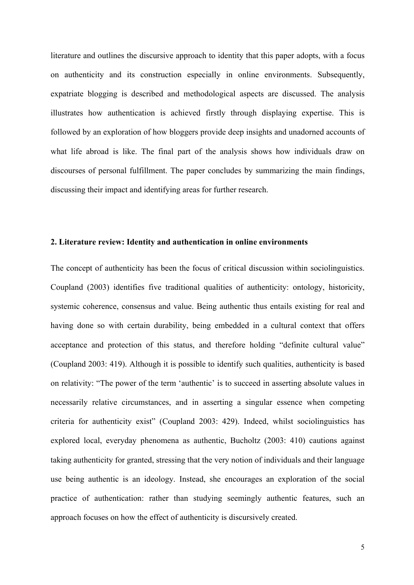literature and outlines the discursive approach to identity that this paper adopts, with a focus on authenticity and its construction especially in online environments. Subsequently, expatriate blogging is described and methodological aspects are discussed. The analysis illustrates how authentication is achieved firstly through displaying expertise. This is followed by an exploration of how bloggers provide deep insights and unadorned accounts of what life abroad is like. The final part of the analysis shows how individuals draw on discourses of personal fulfillment. The paper concludes by summarizing the main findings, discussing their impact and identifying areas for further research.

## **2. Literature review: Identity and authentication in online environments**

The concept of authenticity has been the focus of critical discussion within sociolinguistics. Coupland (2003) identifies five traditional qualities of authenticity: ontology, historicity, systemic coherence, consensus and value. Being authentic thus entails existing for real and having done so with certain durability, being embedded in a cultural context that offers acceptance and protection of this status, and therefore holding "definite cultural value" (Coupland 2003: 419). Although it is possible to identify such qualities, authenticity is based on relativity: "The power of the term 'authentic' is to succeed in asserting absolute values in necessarily relative circumstances, and in asserting a singular essence when competing criteria for authenticity exist" (Coupland 2003: 429). Indeed, whilst sociolinguistics has explored local, everyday phenomena as authentic, Bucholtz (2003: 410) cautions against taking authenticity for granted, stressing that the very notion of individuals and their language use being authentic is an ideology. Instead, she encourages an exploration of the social practice of authentication: rather than studying seemingly authentic features, such an approach focuses on how the effect of authenticity is discursively created.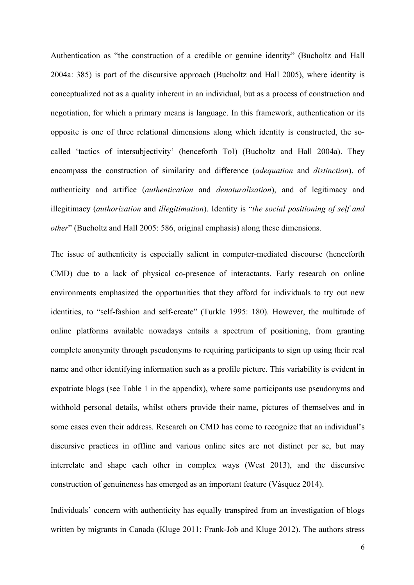Authentication as "the construction of a credible or genuine identity" (Bucholtz and Hall 2004a: 385) is part of the discursive approach (Bucholtz and Hall 2005), where identity is conceptualized not as a quality inherent in an individual, but as a process of construction and negotiation, for which a primary means is language. In this framework, authentication or its opposite is one of three relational dimensions along which identity is constructed, the socalled 'tactics of intersubjectivity' (henceforth ToI) (Bucholtz and Hall 2004a). They encompass the construction of similarity and difference (*adequation* and *distinction*), of authenticity and artifice (*authentication* and *denaturalization*), and of legitimacy and illegitimacy (*authorization* and *illegitimation*). Identity is "*the social positioning of self and other*" (Bucholtz and Hall 2005: 586, original emphasis) along these dimensions.

The issue of authenticity is especially salient in computer-mediated discourse (henceforth CMD) due to a lack of physical co-presence of interactants. Early research on online environments emphasized the opportunities that they afford for individuals to try out new identities, to "self-fashion and self-create" (Turkle 1995: 180). However, the multitude of online platforms available nowadays entails a spectrum of positioning, from granting complete anonymity through pseudonyms to requiring participants to sign up using their real name and other identifying information such as a profile picture. This variability is evident in expatriate blogs (see Table 1 in the appendix), where some participants use pseudonyms and withhold personal details, whilst others provide their name, pictures of themselves and in some cases even their address. Research on CMD has come to recognize that an individual's discursive practices in offline and various online sites are not distinct per se, but may interrelate and shape each other in complex ways (West 2013), and the discursive construction of genuineness has emerged as an important feature (Vásquez 2014).

Individuals' concern with authenticity has equally transpired from an investigation of blogs written by migrants in Canada (Kluge 2011; Frank-Job and Kluge 2012). The authors stress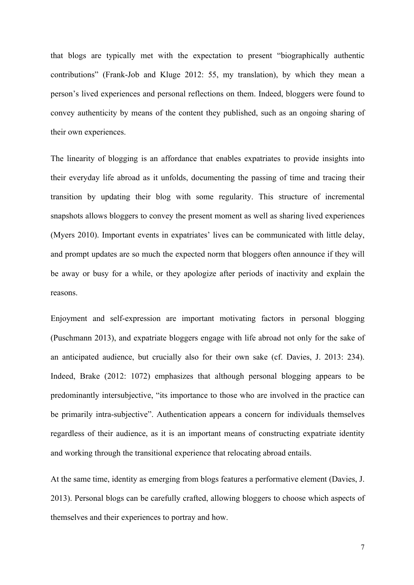that blogs are typically met with the expectation to present "biographically authentic contributions" (Frank-Job and Kluge 2012: 55, my translation), by which they mean a person's lived experiences and personal reflections on them. Indeed, bloggers were found to convey authenticity by means of the content they published, such as an ongoing sharing of their own experiences.

The linearity of blogging is an affordance that enables expatriates to provide insights into their everyday life abroad as it unfolds, documenting the passing of time and tracing their transition by updating their blog with some regularity. This structure of incremental snapshots allows bloggers to convey the present moment as well as sharing lived experiences (Myers 2010). Important events in expatriates' lives can be communicated with little delay, and prompt updates are so much the expected norm that bloggers often announce if they will be away or busy for a while, or they apologize after periods of inactivity and explain the reasons.

Enjoyment and self-expression are important motivating factors in personal blogging (Puschmann 2013), and expatriate bloggers engage with life abroad not only for the sake of an anticipated audience, but crucially also for their own sake (cf. Davies, J. 2013: 234). Indeed, Brake (2012: 1072) emphasizes that although personal blogging appears to be predominantly intersubjective, "its importance to those who are involved in the practice can be primarily intra-subjective". Authentication appears a concern for individuals themselves regardless of their audience, as it is an important means of constructing expatriate identity and working through the transitional experience that relocating abroad entails.

At the same time, identity as emerging from blogs features a performative element (Davies, J. 2013). Personal blogs can be carefully crafted, allowing bloggers to choose which aspects of themselves and their experiences to portray and how.

7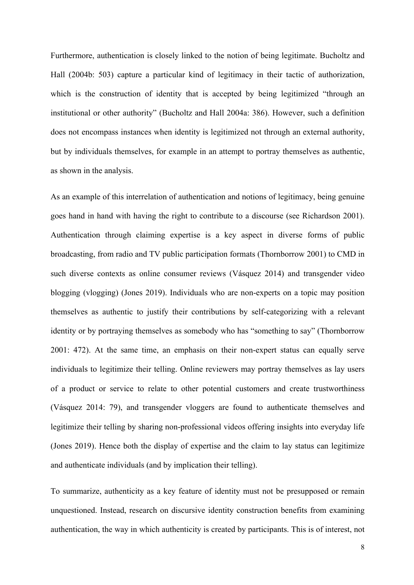Furthermore, authentication is closely linked to the notion of being legitimate. Bucholtz and Hall (2004b: 503) capture a particular kind of legitimacy in their tactic of authorization, which is the construction of identity that is accepted by being legitimized "through an institutional or other authority" (Bucholtz and Hall 2004a: 386). However, such a definition does not encompass instances when identity is legitimized not through an external authority, but by individuals themselves, for example in an attempt to portray themselves as authentic, as shown in the analysis.

As an example of this interrelation of authentication and notions of legitimacy, being genuine goes hand in hand with having the right to contribute to a discourse (see Richardson 2001). Authentication through claiming expertise is a key aspect in diverse forms of public broadcasting, from radio and TV public participation formats (Thornborrow 2001) to CMD in such diverse contexts as online consumer reviews (Vásquez 2014) and transgender video blogging (vlogging) (Jones 2019). Individuals who are non-experts on a topic may position themselves as authentic to justify their contributions by self-categorizing with a relevant identity or by portraying themselves as somebody who has "something to say" (Thornborrow 2001: 472). At the same time, an emphasis on their non-expert status can equally serve individuals to legitimize their telling. Online reviewers may portray themselves as lay users of a product or service to relate to other potential customers and create trustworthiness (Vásquez 2014: 79), and transgender vloggers are found to authenticate themselves and legitimize their telling by sharing non-professional videos offering insights into everyday life (Jones 2019). Hence both the display of expertise and the claim to lay status can legitimize and authenticate individuals (and by implication their telling).

To summarize, authenticity as a key feature of identity must not be presupposed or remain unquestioned. Instead, research on discursive identity construction benefits from examining authentication, the way in which authenticity is created by participants. This is of interest, not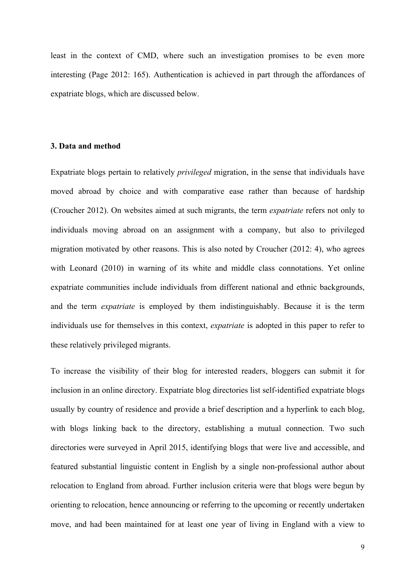least in the context of CMD, where such an investigation promises to be even more interesting (Page 2012: 165). Authentication is achieved in part through the affordances of expatriate blogs, which are discussed below.

## **3. Data and method**

Expatriate blogs pertain to relatively *privileged* migration, in the sense that individuals have moved abroad by choice and with comparative ease rather than because of hardship (Croucher 2012). On websites aimed at such migrants, the term *expatriate* refers not only to individuals moving abroad on an assignment with a company, but also to privileged migration motivated by other reasons. This is also noted by Croucher (2012: 4), who agrees with Leonard (2010) in warning of its white and middle class connotations. Yet online expatriate communities include individuals from different national and ethnic backgrounds, and the term *expatriate* is employed by them indistinguishably. Because it is the term individuals use for themselves in this context, *expatriate* is adopted in this paper to refer to these relatively privileged migrants.

To increase the visibility of their blog for interested readers, bloggers can submit it for inclusion in an online directory. Expatriate blog directories list self-identified expatriate blogs usually by country of residence and provide a brief description and a hyperlink to each blog, with blogs linking back to the directory, establishing a mutual connection. Two such directories were surveyed in April 2015, identifying blogs that were live and accessible, and featured substantial linguistic content in English by a single non-professional author about relocation to England from abroad. Further inclusion criteria were that blogs were begun by orienting to relocation, hence announcing or referring to the upcoming or recently undertaken move, and had been maintained for at least one year of living in England with a view to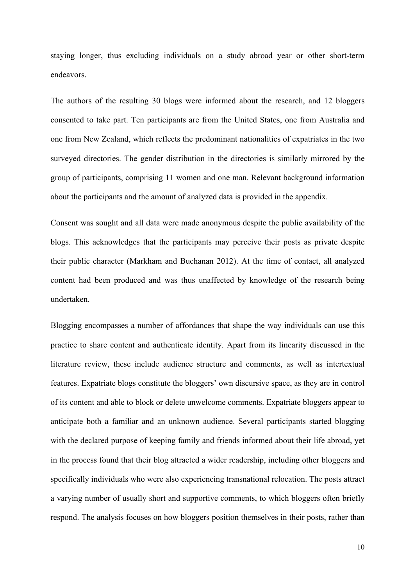staying longer, thus excluding individuals on a study abroad year or other short-term endeavors.

The authors of the resulting 30 blogs were informed about the research, and 12 bloggers consented to take part. Ten participants are from the United States, one from Australia and one from New Zealand, which reflects the predominant nationalities of expatriates in the two surveyed directories. The gender distribution in the directories is similarly mirrored by the group of participants, comprising 11 women and one man. Relevant background information about the participants and the amount of analyzed data is provided in the appendix.

Consent was sought and all data were made anonymous despite the public availability of the blogs. This acknowledges that the participants may perceive their posts as private despite their public character (Markham and Buchanan 2012). At the time of contact, all analyzed content had been produced and was thus unaffected by knowledge of the research being undertaken.

Blogging encompasses a number of affordances that shape the way individuals can use this practice to share content and authenticate identity. Apart from its linearity discussed in the literature review, these include audience structure and comments, as well as intertextual features. Expatriate blogs constitute the bloggers' own discursive space, as they are in control of its content and able to block or delete unwelcome comments. Expatriate bloggers appear to anticipate both a familiar and an unknown audience. Several participants started blogging with the declared purpose of keeping family and friends informed about their life abroad, yet in the process found that their blog attracted a wider readership, including other bloggers and specifically individuals who were also experiencing transnational relocation. The posts attract a varying number of usually short and supportive comments, to which bloggers often briefly respond. The analysis focuses on how bloggers position themselves in their posts, rather than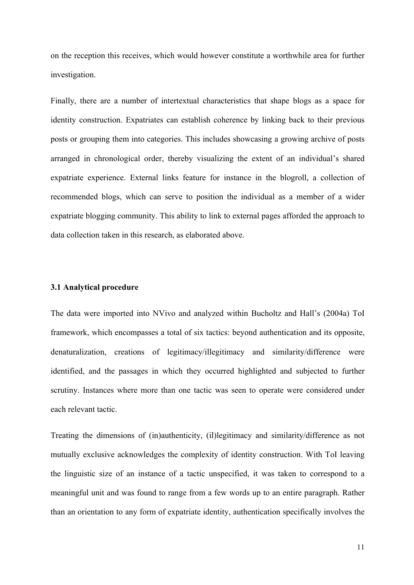on the reception this receives, which would however constitute a worthwhile area for further investigation.

Finally, there are a number of intertextual characteristics that shape blogs as a space for identity construction. Expatriates can establish coherence by linking back to their previous posts or grouping them into categories. This includes showcasing a growing archive of posts arranged in chronological order, thereby visualizing the extent of an individual's shared expatriate experience. External links feature for instance in the blogroll, a collection of recommended blogs, which can serve to position the individual as a member of a wider expatriate blogging community. This ability to link to external pages afforded the approach to data collection taken in this research, as elaborated above.

#### **3.1 Analytical procedure**

The data were imported into NVivo and analyzed within Bucholtz and Hall's (2004a) ToI framework, which encompasses a total of six tactics: beyond authentication and its opposite, denaturalization, creations of legitimacy/illegitimacy and similarity/difference were identified, and the passages in which they occurred highlighted and subjected to further scrutiny. Instances where more than one tactic was seen to operate were considered under each relevant tactic.

Treating the dimensions of (in)authenticity, (il)legitimacy and similarity/difference as not mutually exclusive acknowledges the complexity of identity construction. With ToI leaving the linguistic size of an instance of a tactic unspecified, it was taken to correspond to a meaningful unit and was found to range from a few words up to an entire paragraph. Rather than an orientation to any form of expatriate identity, authentication specifically involves the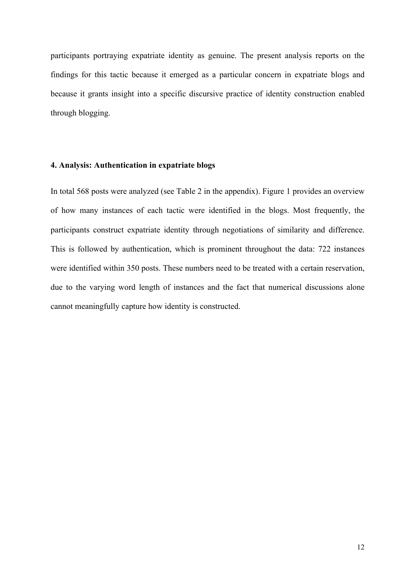participants portraying expatriate identity as genuine. The present analysis reports on the findings for this tactic because it emerged as a particular concern in expatriate blogs and because it grants insight into a specific discursive practice of identity construction enabled through blogging.

## **4. Analysis: Authentication in expatriate blogs**

In total 568 posts were analyzed (see Table 2 in the appendix). Figure 1 provides an overview of how many instances of each tactic were identified in the blogs. Most frequently, the participants construct expatriate identity through negotiations of similarity and difference. This is followed by authentication, which is prominent throughout the data: 722 instances were identified within 350 posts. These numbers need to be treated with a certain reservation, due to the varying word length of instances and the fact that numerical discussions alone cannot meaningfully capture how identity is constructed.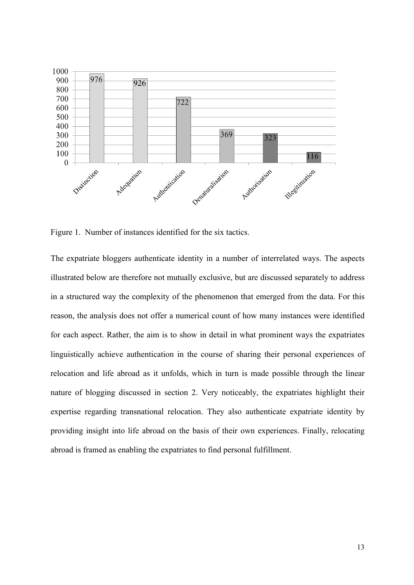

Figure 1. Number of instances identified for the six tactics.

The expatriate bloggers authenticate identity in a number of interrelated ways. The aspects illustrated below are therefore not mutually exclusive, but are discussed separately to address in a structured way the complexity of the phenomenon that emerged from the data. For this reason, the analysis does not offer a numerical count of how many instances were identified for each aspect. Rather, the aim is to show in detail in what prominent ways the expatriates linguistically achieve authentication in the course of sharing their personal experiences of relocation and life abroad as it unfolds, which in turn is made possible through the linear nature of blogging discussed in section 2. Very noticeably, the expatriates highlight their expertise regarding transnational relocation. They also authenticate expatriate identity by providing insight into life abroad on the basis of their own experiences. Finally, relocating abroad is framed as enabling the expatriates to find personal fulfillment.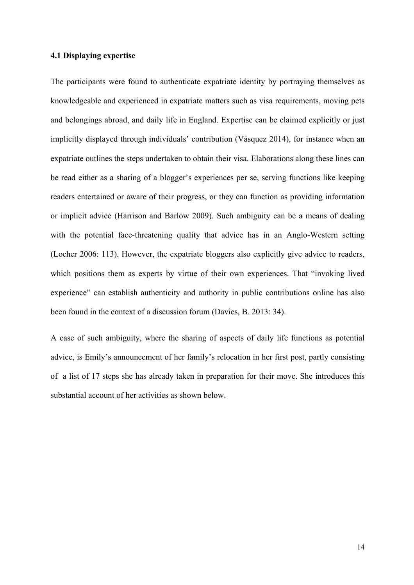## **4.1 Displaying expertise**

The participants were found to authenticate expatriate identity by portraying themselves as knowledgeable and experienced in expatriate matters such as visa requirements, moving pets and belongings abroad, and daily life in England. Expertise can be claimed explicitly or just implicitly displayed through individuals' contribution (Vásquez 2014), for instance when an expatriate outlines the steps undertaken to obtain their visa. Elaborations along these lines can be read either as a sharing of a blogger's experiences per se, serving functions like keeping readers entertained or aware of their progress, or they can function as providing information or implicit advice (Harrison and Barlow 2009). Such ambiguity can be a means of dealing with the potential face-threatening quality that advice has in an Anglo-Western setting (Locher 2006: 113). However, the expatriate bloggers also explicitly give advice to readers, which positions them as experts by virtue of their own experiences. That "invoking lived experience" can establish authenticity and authority in public contributions online has also been found in the context of a discussion forum (Davies, B. 2013: 34).

A case of such ambiguity, where the sharing of aspects of daily life functions as potential advice, is Emily's announcement of her family's relocation in her first post, partly consisting of a list of 17 steps she has already taken in preparation for their move. She introduces this substantial account of her activities as shown below.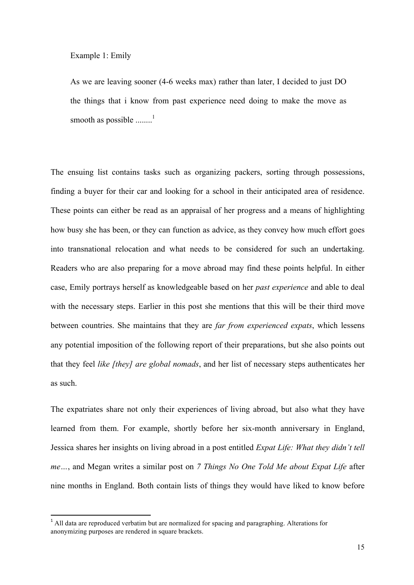Example 1: Emily

As we are leaving sooner (4-6 weeks max) rather than later, I decided to just DO the things that i know from past experience need doing to make the move as smooth as possible  $\ldots$ <sup>1</sup>

The ensuing list contains tasks such as organizing packers, sorting through possessions, finding a buyer for their car and looking for a school in their anticipated area of residence. These points can either be read as an appraisal of her progress and a means of highlighting how busy she has been, or they can function as advice, as they convey how much effort goes into transnational relocation and what needs to be considered for such an undertaking. Readers who are also preparing for a move abroad may find these points helpful. In either case, Emily portrays herself as knowledgeable based on her *past experience* and able to deal with the necessary steps. Earlier in this post she mentions that this will be their third move between countries. She maintains that they are *far from experienced expats*, which lessens any potential imposition of the following report of their preparations, but she also points out that they feel *like [they] are global nomads*, and her list of necessary steps authenticates her as such.

The expatriates share not only their experiences of living abroad, but also what they have learned from them. For example, shortly before her six-month anniversary in England, Jessica shares her insights on living abroad in a post entitled *Expat Life: What they didn't tell me…*, and Megan writes a similar post on *7 Things No One Told Me about Expat Life* after nine months in England. Both contain lists of things they would have liked to know before

<u> 1989 - Jan Samuel Barbara, político establecido de la provincia de la provincia de la provincia de la provinci</u>

<sup>&</sup>lt;sup>1</sup> All data are reproduced verbatim but are normalized for spacing and paragraphing. Alterations for anonymizing purposes are rendered in square brackets.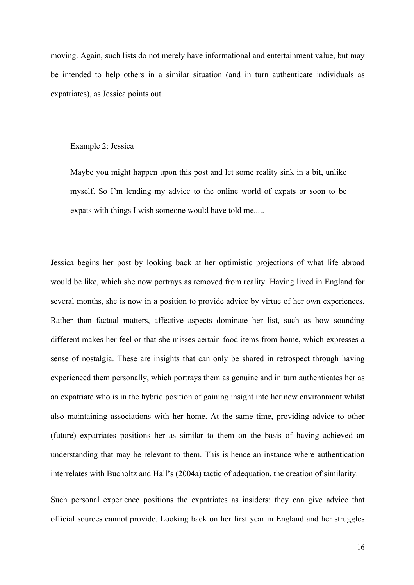moving. Again, such lists do not merely have informational and entertainment value, but may be intended to help others in a similar situation (and in turn authenticate individuals as expatriates), as Jessica points out.

## Example 2: Jessica

Maybe you might happen upon this post and let some reality sink in a bit, unlike myself. So I'm lending my advice to the online world of expats or soon to be expats with things I wish someone would have told me.....

Jessica begins her post by looking back at her optimistic projections of what life abroad would be like, which she now portrays as removed from reality. Having lived in England for several months, she is now in a position to provide advice by virtue of her own experiences. Rather than factual matters, affective aspects dominate her list, such as how sounding different makes her feel or that she misses certain food items from home, which expresses a sense of nostalgia. These are insights that can only be shared in retrospect through having experienced them personally, which portrays them as genuine and in turn authenticates her as an expatriate who is in the hybrid position of gaining insight into her new environment whilst also maintaining associations with her home. At the same time, providing advice to other (future) expatriates positions her as similar to them on the basis of having achieved an understanding that may be relevant to them. This is hence an instance where authentication interrelates with Bucholtz and Hall's (2004a) tactic of adequation, the creation of similarity.

Such personal experience positions the expatriates as insiders: they can give advice that official sources cannot provide. Looking back on her first year in England and her struggles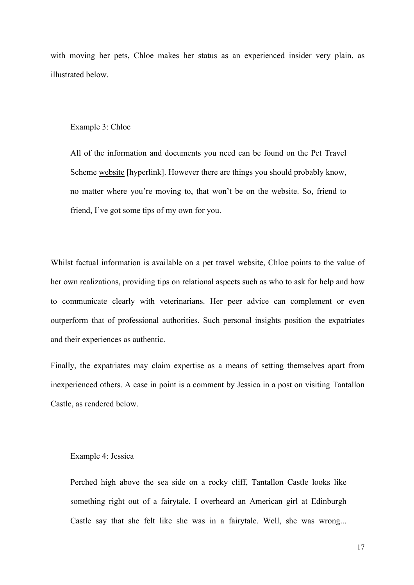with moving her pets, Chloe makes her status as an experienced insider very plain, as illustrated below.

#### Example 3: Chloe

All of the information and documents you need can be found on the Pet Travel Scheme website [hyperlink]. However there are things you should probably know, no matter where you're moving to, that won't be on the website. So, friend to friend, I've got some tips of my own for you.

Whilst factual information is available on a pet travel website, Chloe points to the value of her own realizations, providing tips on relational aspects such as who to ask for help and how to communicate clearly with veterinarians. Her peer advice can complement or even outperform that of professional authorities. Such personal insights position the expatriates and their experiences as authentic.

Finally, the expatriates may claim expertise as a means of setting themselves apart from inexperienced others. A case in point is a comment by Jessica in a post on visiting Tantallon Castle, as rendered below.

#### Example 4: Jessica

Perched high above the sea side on a rocky cliff, Tantallon Castle looks like something right out of a fairytale. I overheard an American girl at Edinburgh Castle say that she felt like she was in a fairytale. Well, she was wrong...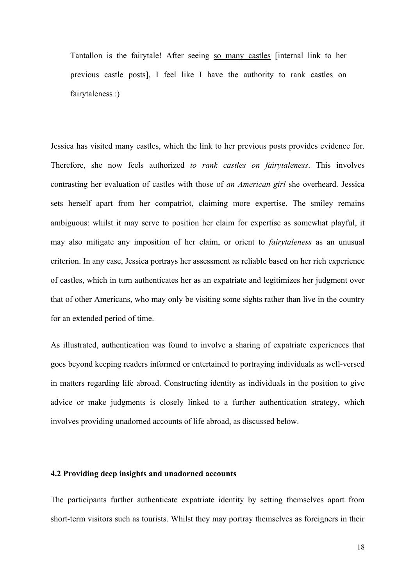Tantallon is the fairytale! After seeing so many castles [internal link to her previous castle posts], I feel like I have the authority to rank castles on fairytaleness :)

Jessica has visited many castles, which the link to her previous posts provides evidence for. Therefore, she now feels authorized *to rank castles on fairytaleness*. This involves contrasting her evaluation of castles with those of *an American girl* she overheard. Jessica sets herself apart from her compatriot, claiming more expertise. The smiley remains ambiguous: whilst it may serve to position her claim for expertise as somewhat playful, it may also mitigate any imposition of her claim, or orient to *fairytaleness* as an unusual criterion. In any case, Jessica portrays her assessment as reliable based on her rich experience of castles, which in turn authenticates her as an expatriate and legitimizes her judgment over that of other Americans, who may only be visiting some sights rather than live in the country for an extended period of time.

As illustrated, authentication was found to involve a sharing of expatriate experiences that goes beyond keeping readers informed or entertained to portraying individuals as well-versed in matters regarding life abroad. Constructing identity as individuals in the position to give advice or make judgments is closely linked to a further authentication strategy, which involves providing unadorned accounts of life abroad, as discussed below.

## **4.2 Providing deep insights and unadorned accounts**

The participants further authenticate expatriate identity by setting themselves apart from short-term visitors such as tourists. Whilst they may portray themselves as foreigners in their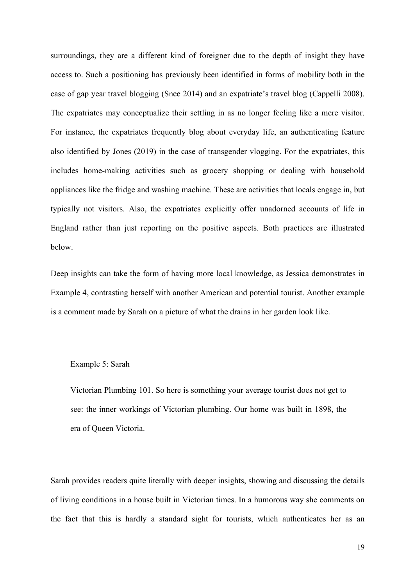surroundings, they are a different kind of foreigner due to the depth of insight they have access to. Such a positioning has previously been identified in forms of mobility both in the case of gap year travel blogging (Snee 2014) and an expatriate's travel blog (Cappelli 2008). The expatriates may conceptualize their settling in as no longer feeling like a mere visitor. For instance, the expatriates frequently blog about everyday life, an authenticating feature also identified by Jones (2019) in the case of transgender vlogging. For the expatriates, this includes home-making activities such as grocery shopping or dealing with household appliances like the fridge and washing machine. These are activities that locals engage in, but typically not visitors. Also, the expatriates explicitly offer unadorned accounts of life in England rather than just reporting on the positive aspects. Both practices are illustrated below.

Deep insights can take the form of having more local knowledge, as Jessica demonstrates in Example 4, contrasting herself with another American and potential tourist. Another example is a comment made by Sarah on a picture of what the drains in her garden look like.

## Example 5: Sarah

Victorian Plumbing 101. So here is something your average tourist does not get to see: the inner workings of Victorian plumbing. Our home was built in 1898, the era of Queen Victoria.

Sarah provides readers quite literally with deeper insights, showing and discussing the details of living conditions in a house built in Victorian times. In a humorous way she comments on the fact that this is hardly a standard sight for tourists, which authenticates her as an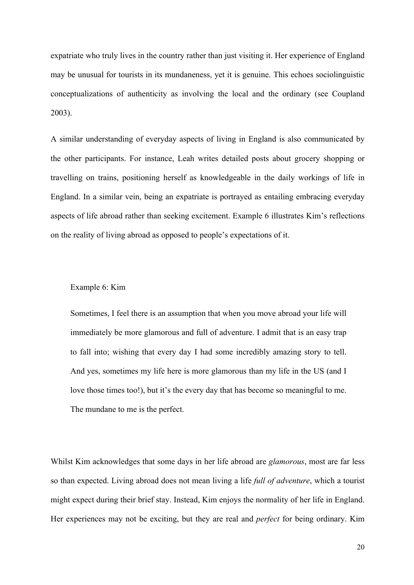expatriate who truly lives in the country rather than just visiting it. Her experience of England may be unusual for tourists in its mundaneness, yet it is genuine. This echoes sociolinguistic conceptualizations of authenticity as involving the local and the ordinary (see Coupland 2003).

A similar understanding of everyday aspects of living in England is also communicated by the other participants. For instance, Leah writes detailed posts about grocery shopping or travelling on trains, positioning herself as knowledgeable in the daily workings of life in England. In a similar vein, being an expatriate is portrayed as entailing embracing everyday aspects of life abroad rather than seeking excitement. Example 6 illustrates Kim's reflections on the reality of living abroad as opposed to people's expectations of it.

#### Example 6: Kim

Sometimes, I feel there is an assumption that when you move abroad your life will immediately be more glamorous and full of adventure. I admit that is an easy trap to fall into; wishing that every day I had some incredibly amazing story to tell. And yes, sometimes my life here is more glamorous than my life in the US (and I love those times too!), but it's the every day that has become so meaningful to me. The mundane to me is the perfect.

Whilst Kim acknowledges that some days in her life abroad are *glamorous*, most are far less so than expected. Living abroad does not mean living a life *full of adventure*, which a tourist might expect during their brief stay. Instead, Kim enjoys the normality of her life in England. Her experiences may not be exciting, but they are real and *perfect* for being ordinary. Kim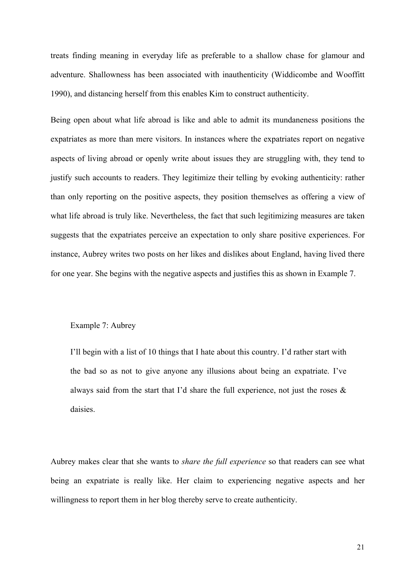treats finding meaning in everyday life as preferable to a shallow chase for glamour and adventure. Shallowness has been associated with inauthenticity (Widdicombe and Wooffitt 1990), and distancing herself from this enables Kim to construct authenticity.

Being open about what life abroad is like and able to admit its mundaneness positions the expatriates as more than mere visitors. In instances where the expatriates report on negative aspects of living abroad or openly write about issues they are struggling with, they tend to justify such accounts to readers. They legitimize their telling by evoking authenticity: rather than only reporting on the positive aspects, they position themselves as offering a view of what life abroad is truly like. Nevertheless, the fact that such legitimizing measures are taken suggests that the expatriates perceive an expectation to only share positive experiences. For instance, Aubrey writes two posts on her likes and dislikes about England, having lived there for one year. She begins with the negative aspects and justifies this as shown in Example 7.

## Example 7: Aubrey

I'll begin with a list of 10 things that I hate about this country. I'd rather start with the bad so as not to give anyone any illusions about being an expatriate. I've always said from the start that I'd share the full experience, not just the roses  $\&$ daisies.

Aubrey makes clear that she wants to *share the full experience* so that readers can see what being an expatriate is really like. Her claim to experiencing negative aspects and her willingness to report them in her blog thereby serve to create authenticity.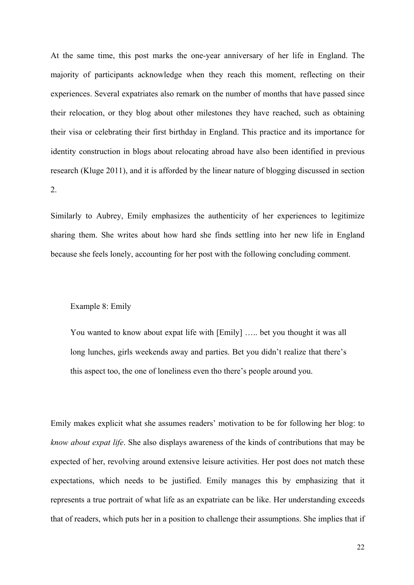At the same time, this post marks the one-year anniversary of her life in England. The majority of participants acknowledge when they reach this moment, reflecting on their experiences. Several expatriates also remark on the number of months that have passed since their relocation, or they blog about other milestones they have reached, such as obtaining their visa or celebrating their first birthday in England. This practice and its importance for identity construction in blogs about relocating abroad have also been identified in previous research (Kluge 2011), and it is afforded by the linear nature of blogging discussed in section 2.

Similarly to Aubrey, Emily emphasizes the authenticity of her experiences to legitimize sharing them. She writes about how hard she finds settling into her new life in England because she feels lonely, accounting for her post with the following concluding comment.

#### Example 8: Emily

You wanted to know about expat life with [Emily] ….. bet you thought it was all long lunches, girls weekends away and parties. Bet you didn't realize that there's this aspect too, the one of loneliness even tho there's people around you.

Emily makes explicit what she assumes readers' motivation to be for following her blog: to *know about expat life*. She also displays awareness of the kinds of contributions that may be expected of her, revolving around extensive leisure activities. Her post does not match these expectations, which needs to be justified. Emily manages this by emphasizing that it represents a true portrait of what life as an expatriate can be like. Her understanding exceeds that of readers, which puts her in a position to challenge their assumptions. She implies that if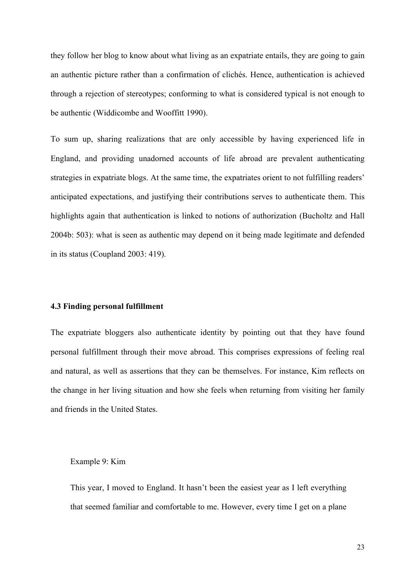they follow her blog to know about what living as an expatriate entails, they are going to gain an authentic picture rather than a confirmation of clichés. Hence, authentication is achieved through a rejection of stereotypes; conforming to what is considered typical is not enough to be authentic (Widdicombe and Wooffitt 1990).

To sum up, sharing realizations that are only accessible by having experienced life in England, and providing unadorned accounts of life abroad are prevalent authenticating strategies in expatriate blogs. At the same time, the expatriates orient to not fulfilling readers' anticipated expectations, and justifying their contributions serves to authenticate them. This highlights again that authentication is linked to notions of authorization (Bucholtz and Hall 2004b: 503): what is seen as authentic may depend on it being made legitimate and defended in its status (Coupland 2003: 419).

#### **4.3 Finding personal fulfillment**

The expatriate bloggers also authenticate identity by pointing out that they have found personal fulfillment through their move abroad. This comprises expressions of feeling real and natural, as well as assertions that they can be themselves. For instance, Kim reflects on the change in her living situation and how she feels when returning from visiting her family and friends in the United States.

#### Example 9: Kim

This year, I moved to England. It hasn't been the easiest year as I left everything that seemed familiar and comfortable to me. However, every time I get on a plane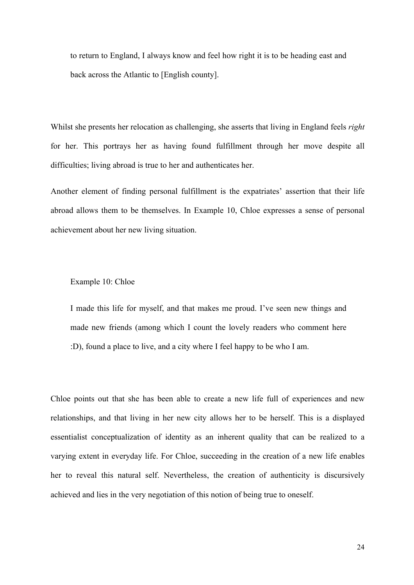to return to England, I always know and feel how right it is to be heading east and back across the Atlantic to [English county].

Whilst she presents her relocation as challenging, she asserts that living in England feels *right* for her. This portrays her as having found fulfillment through her move despite all difficulties; living abroad is true to her and authenticates her.

Another element of finding personal fulfillment is the expatriates' assertion that their life abroad allows them to be themselves. In Example 10, Chloe expresses a sense of personal achievement about her new living situation.

## Example 10: Chloe

I made this life for myself, and that makes me proud. I've seen new things and made new friends (among which I count the lovely readers who comment here :D), found a place to live, and a city where I feel happy to be who I am.

Chloe points out that she has been able to create a new life full of experiences and new relationships, and that living in her new city allows her to be herself. This is a displayed essentialist conceptualization of identity as an inherent quality that can be realized to a varying extent in everyday life. For Chloe, succeeding in the creation of a new life enables her to reveal this natural self. Nevertheless, the creation of authenticity is discursively achieved and lies in the very negotiation of this notion of being true to oneself.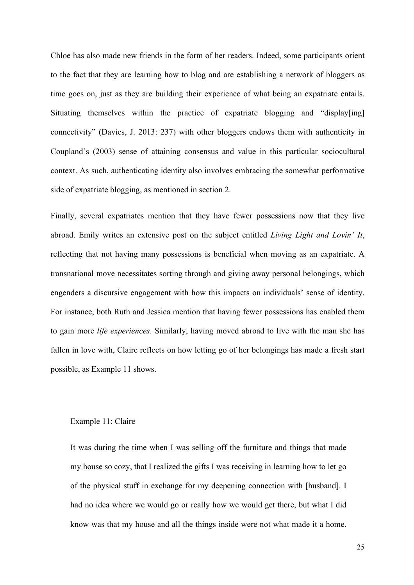Chloe has also made new friends in the form of her readers. Indeed, some participants orient to the fact that they are learning how to blog and are establishing a network of bloggers as time goes on, just as they are building their experience of what being an expatriate entails. Situating themselves within the practice of expatriate blogging and "display[ing] connectivity" (Davies, J. 2013: 237) with other bloggers endows them with authenticity in Coupland's (2003) sense of attaining consensus and value in this particular sociocultural context. As such, authenticating identity also involves embracing the somewhat performative side of expatriate blogging, as mentioned in section 2.

Finally, several expatriates mention that they have fewer possessions now that they live abroad. Emily writes an extensive post on the subject entitled *Living Light and Lovin' It*, reflecting that not having many possessions is beneficial when moving as an expatriate. A transnational move necessitates sorting through and giving away personal belongings, which engenders a discursive engagement with how this impacts on individuals' sense of identity. For instance, both Ruth and Jessica mention that having fewer possessions has enabled them to gain more *life experiences*. Similarly, having moved abroad to live with the man she has fallen in love with, Claire reflects on how letting go of her belongings has made a fresh start possible, as Example 11 shows.

## Example 11: Claire

It was during the time when I was selling off the furniture and things that made my house so cozy, that I realized the gifts I was receiving in learning how to let go of the physical stuff in exchange for my deepening connection with [husband]. I had no idea where we would go or really how we would get there, but what I did know was that my house and all the things inside were not what made it a home.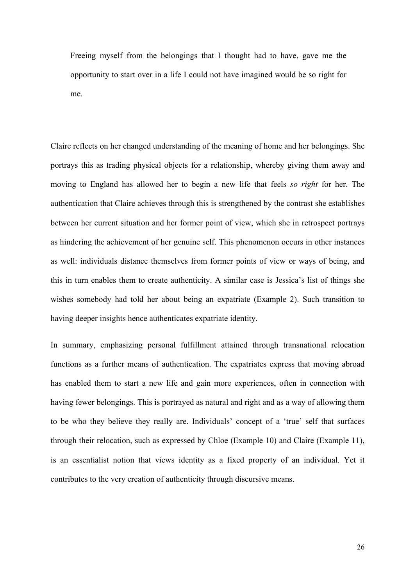Freeing myself from the belongings that I thought had to have, gave me the opportunity to start over in a life I could not have imagined would be so right for me.

Claire reflects on her changed understanding of the meaning of home and her belongings. She portrays this as trading physical objects for a relationship, whereby giving them away and moving to England has allowed her to begin a new life that feels *so right* for her. The authentication that Claire achieves through this is strengthened by the contrast she establishes between her current situation and her former point of view, which she in retrospect portrays as hindering the achievement of her genuine self. This phenomenon occurs in other instances as well: individuals distance themselves from former points of view or ways of being, and this in turn enables them to create authenticity. A similar case is Jessica's list of things she wishes somebody had told her about being an expatriate (Example 2). Such transition to having deeper insights hence authenticates expatriate identity.

In summary, emphasizing personal fulfillment attained through transnational relocation functions as a further means of authentication. The expatriates express that moving abroad has enabled them to start a new life and gain more experiences, often in connection with having fewer belongings. This is portrayed as natural and right and as a way of allowing them to be who they believe they really are. Individuals' concept of a 'true' self that surfaces through their relocation, such as expressed by Chloe (Example 10) and Claire (Example 11), is an essentialist notion that views identity as a fixed property of an individual. Yet it contributes to the very creation of authenticity through discursive means.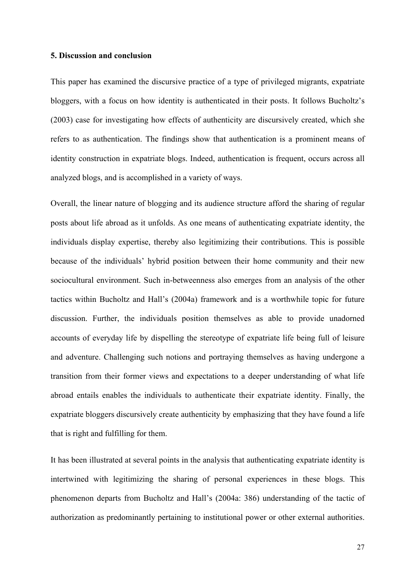#### **5. Discussion and conclusion**

This paper has examined the discursive practice of a type of privileged migrants, expatriate bloggers, with a focus on how identity is authenticated in their posts. It follows Bucholtz's (2003) case for investigating how effects of authenticity are discursively created, which she refers to as authentication. The findings show that authentication is a prominent means of identity construction in expatriate blogs. Indeed, authentication is frequent, occurs across all analyzed blogs, and is accomplished in a variety of ways.

Overall, the linear nature of blogging and its audience structure afford the sharing of regular posts about life abroad as it unfolds. As one means of authenticating expatriate identity, the individuals display expertise, thereby also legitimizing their contributions. This is possible because of the individuals' hybrid position between their home community and their new sociocultural environment. Such in-betweenness also emerges from an analysis of the other tactics within Bucholtz and Hall's (2004a) framework and is a worthwhile topic for future discussion. Further, the individuals position themselves as able to provide unadorned accounts of everyday life by dispelling the stereotype of expatriate life being full of leisure and adventure. Challenging such notions and portraying themselves as having undergone a transition from their former views and expectations to a deeper understanding of what life abroad entails enables the individuals to authenticate their expatriate identity. Finally, the expatriate bloggers discursively create authenticity by emphasizing that they have found a life that is right and fulfilling for them.

It has been illustrated at several points in the analysis that authenticating expatriate identity is intertwined with legitimizing the sharing of personal experiences in these blogs. This phenomenon departs from Bucholtz and Hall's (2004a: 386) understanding of the tactic of authorization as predominantly pertaining to institutional power or other external authorities.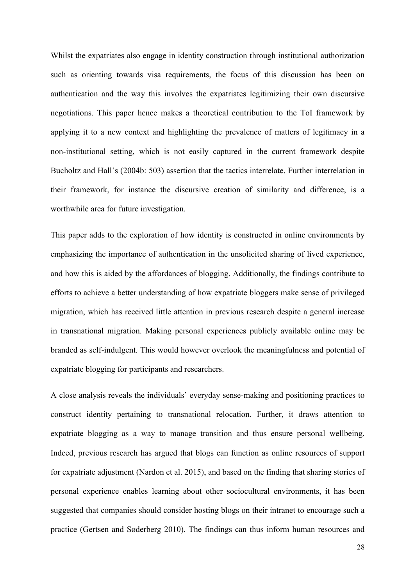Whilst the expatriates also engage in identity construction through institutional authorization such as orienting towards visa requirements, the focus of this discussion has been on authentication and the way this involves the expatriates legitimizing their own discursive negotiations. This paper hence makes a theoretical contribution to the ToI framework by applying it to a new context and highlighting the prevalence of matters of legitimacy in a non-institutional setting, which is not easily captured in the current framework despite Bucholtz and Hall's (2004b: 503) assertion that the tactics interrelate. Further interrelation in their framework, for instance the discursive creation of similarity and difference, is a worthwhile area for future investigation.

This paper adds to the exploration of how identity is constructed in online environments by emphasizing the importance of authentication in the unsolicited sharing of lived experience, and how this is aided by the affordances of blogging. Additionally, the findings contribute to efforts to achieve a better understanding of how expatriate bloggers make sense of privileged migration, which has received little attention in previous research despite a general increase in transnational migration. Making personal experiences publicly available online may be branded as self-indulgent. This would however overlook the meaningfulness and potential of expatriate blogging for participants and researchers.

A close analysis reveals the individuals' everyday sense-making and positioning practices to construct identity pertaining to transnational relocation. Further, it draws attention to expatriate blogging as a way to manage transition and thus ensure personal wellbeing. Indeed, previous research has argued that blogs can function as online resources of support for expatriate adjustment (Nardon et al. 2015), and based on the finding that sharing stories of personal experience enables learning about other sociocultural environments, it has been suggested that companies should consider hosting blogs on their intranet to encourage such a practice (Gertsen and Søderberg 2010). The findings can thus inform human resources and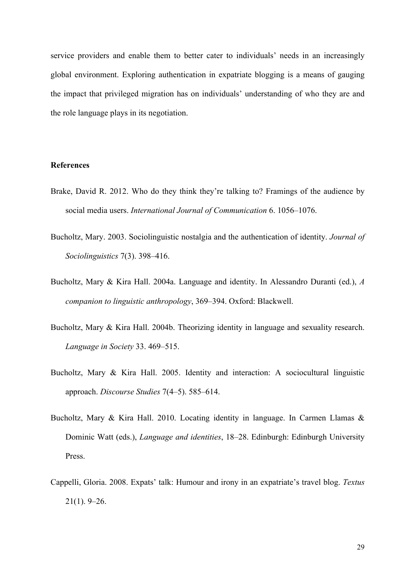service providers and enable them to better cater to individuals' needs in an increasingly global environment. Exploring authentication in expatriate blogging is a means of gauging the impact that privileged migration has on individuals' understanding of who they are and the role language plays in its negotiation.

## **References**

- Brake, David R. 2012. Who do they think they're talking to? Framings of the audience by social media users. *International Journal of Communication* 6. 1056–1076.
- Bucholtz, Mary. 2003. Sociolinguistic nostalgia and the authentication of identity. *Journal of Sociolinguistics* 7(3). 398–416.
- Bucholtz, Mary & Kira Hall. 2004a. Language and identity. In Alessandro Duranti (ed.), *A companion to linguistic anthropology*, 369–394. Oxford: Blackwell.
- Bucholtz, Mary & Kira Hall. 2004b. Theorizing identity in language and sexuality research. *Language in Society* 33. 469–515.
- Bucholtz, Mary & Kira Hall. 2005. Identity and interaction: A sociocultural linguistic approach. *Discourse Studies* 7(4–5). 585–614.
- Bucholtz, Mary & Kira Hall. 2010. Locating identity in language. In Carmen Llamas & Dominic Watt (eds.), *Language and identities*, 18–28. Edinburgh: Edinburgh University Press.
- Cappelli, Gloria. 2008. Expats' talk: Humour and irony in an expatriate's travel blog. *Textus* 21(1). 9–26.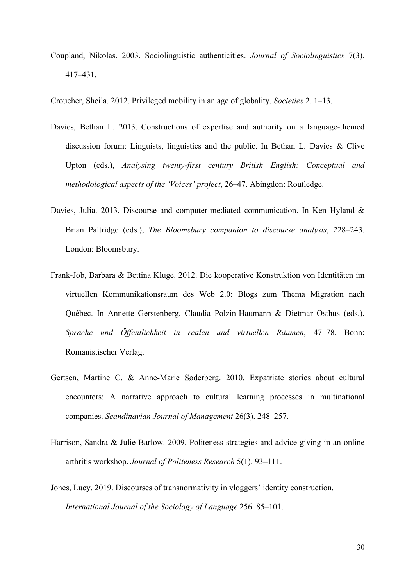Coupland, Nikolas. 2003. Sociolinguistic authenticities. *Journal of Sociolinguistics* 7(3). 417–431.

Croucher, Sheila. 2012. Privileged mobility in an age of globality. *Societies* 2. 1–13.

- Davies, Bethan L. 2013. Constructions of expertise and authority on a language-themed discussion forum: Linguists, linguistics and the public. In Bethan L. Davies & Clive Upton (eds.), *Analysing twenty-first century British English: Conceptual and methodological aspects of the 'Voices' project*, 26–47. Abingdon: Routledge.
- Davies, Julia. 2013. Discourse and computer-mediated communication. In Ken Hyland & Brian Paltridge (eds.), *The Bloomsbury companion to discourse analysis*, 228–243. London: Bloomsbury.
- Frank-Job, Barbara & Bettina Kluge. 2012. Die kooperative Konstruktion von Identitäten im virtuellen Kommunikationsraum des Web 2.0: Blogs zum Thema Migration nach Québec. In Annette Gerstenberg, Claudia Polzin-Haumann & Dietmar Osthus (eds.), *Sprache und Öffentlichkeit in realen und virtuellen Räumen*, 47–78. Bonn: Romanistischer Verlag.
- Gertsen, Martine C. & Anne-Marie Søderberg. 2010. Expatriate stories about cultural encounters: A narrative approach to cultural learning processes in multinational companies. *Scandinavian Journal of Management* 26(3). 248–257.
- Harrison, Sandra & Julie Barlow. 2009. Politeness strategies and advice-giving in an online arthritis workshop. *Journal of Politeness Research* 5(1). 93–111.
- Jones, Lucy. 2019. Discourses of transnormativity in vloggers' identity construction. *International Journal of the Sociology of Language* 256. 85–101.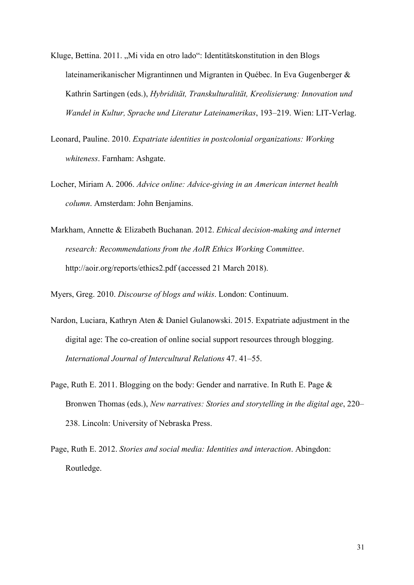- Kluge, Bettina. 2011. "Mi vida en otro lado": Identitätskonstitution in den Blogs lateinamerikanischer Migrantinnen und Migranten in Québec. In Eva Gugenberger & Kathrin Sartingen (eds.), *Hybridität, Transkulturalität, Kreolisierung: Innovation und Wandel in Kultur, Sprache und Literatur Lateinamerikas*, 193–219. Wien: LIT-Verlag.
- Leonard, Pauline. 2010. *Expatriate identities in postcolonial organizations: Working whiteness*. Farnham: Ashgate.
- Locher, Miriam A. 2006. *Advice online: Advice-giving in an American internet health column*. Amsterdam: John Benjamins.
- Markham, Annette & Elizabeth Buchanan. 2012. *Ethical decision-making and internet research: Recommendations from the AoIR Ethics Working Committee*. http://aoir.org/reports/ethics2.pdf (accessed 21 March 2018).

Myers, Greg. 2010. *Discourse of blogs and wikis*. London: Continuum.

- Nardon, Luciara, Kathryn Aten & Daniel Gulanowski. 2015. Expatriate adjustment in the digital age: The co-creation of online social support resources through blogging. *International Journal of Intercultural Relations* 47. 41–55.
- Page, Ruth E. 2011. Blogging on the body: Gender and narrative. In Ruth E. Page & Bronwen Thomas (eds.), *New narratives: Stories and storytelling in the digital age*, 220– 238. Lincoln: University of Nebraska Press.
- Page, Ruth E. 2012. *Stories and social media: Identities and interaction*. Abingdon: Routledge.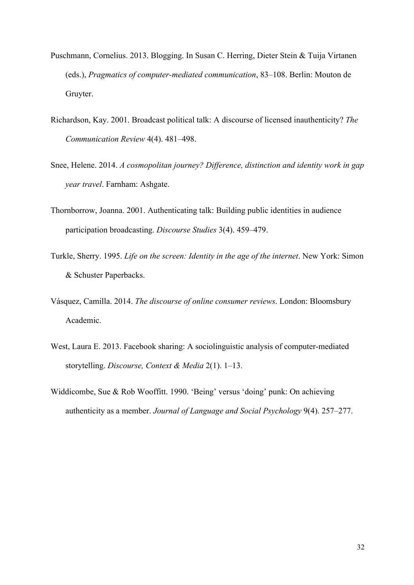- Puschmann, Cornelius. 2013. Blogging. In Susan C. Herring, Dieter Stein & Tuija Virtanen (eds.), *Pragmatics of computer-mediated communication*, 83–108. Berlin: Mouton de Gruyter.
- Richardson, Kay. 2001. Broadcast political talk: A discourse of licensed inauthenticity? *The Communication Review* 4(4). 481–498.
- Snee, Helene. 2014. *A cosmopolitan journey? Difference, distinction and identity work in gap year travel*. Farnham: Ashgate.
- Thornborrow, Joanna. 2001. Authenticating talk: Building public identities in audience participation broadcasting. *Discourse Studies* 3(4). 459–479.
- Turkle, Sherry. 1995. *Life on the screen: Identity in the age of the internet*. New York: Simon & Schuster Paperbacks.
- Vásquez, Camilla. 2014. *The discourse of online consumer reviews*. London: Bloomsbury Academic.
- West, Laura E. 2013. Facebook sharing: A sociolinguistic analysis of computer-mediated storytelling. *Discourse, Context & Media* 2(1). 1–13.
- Widdicombe, Sue & Rob Wooffitt. 1990. 'Being' versus 'doing' punk: On achieving authenticity as a member. *Journal of Language and Social Psychology* 9(4). 257–277.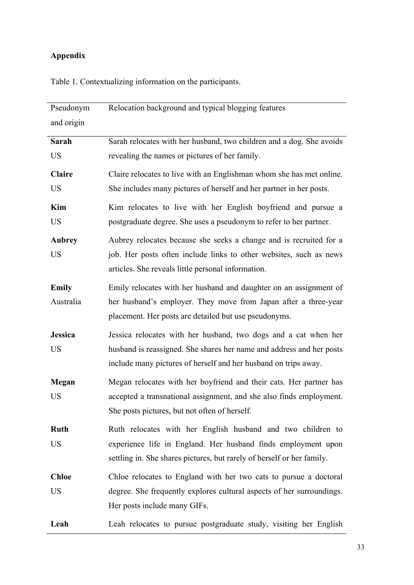# **Appendix**

| Pseudonym      | Relocation background and typical blogging features                    |  |  |  |  |
|----------------|------------------------------------------------------------------------|--|--|--|--|
| and origin     |                                                                        |  |  |  |  |
| Sarah          | Sarah relocates with her husband, two children and a dog. She avoids   |  |  |  |  |
| <b>US</b>      | revealing the names or pictures of her family.                         |  |  |  |  |
| <b>Claire</b>  | Claire relocates to live with an Englishman whom she has met online.   |  |  |  |  |
| <b>US</b>      | She includes many pictures of herself and her partner in her posts.    |  |  |  |  |
| Kim            | Kim relocates to live with her English boyfriend and pursue a          |  |  |  |  |
| <b>US</b>      | postgraduate degree. She uses a pseudonym to refer to her partner.     |  |  |  |  |
| <b>Aubrey</b>  | Aubrey relocates because she seeks a change and is recruited for a     |  |  |  |  |
| <b>US</b>      | job. Her posts often include links to other websites, such as news     |  |  |  |  |
|                | articles. She reveals little personal information.                     |  |  |  |  |
| <b>Emily</b>   | Emily relocates with her husband and daughter on an assignment of      |  |  |  |  |
| Australia      | her husband's employer. They move from Japan after a three-year        |  |  |  |  |
|                | placement. Her posts are detailed but use pseudonyms.                  |  |  |  |  |
| <b>Jessica</b> | Jessica relocates with her husband, two dogs and a cat when her        |  |  |  |  |
| <b>US</b>      | husband is reassigned. She shares her name and address and her posts   |  |  |  |  |
|                | include many pictures of herself and her husband on trips away.        |  |  |  |  |
| Megan          | Megan relocates with her boyfriend and their cats. Her partner has     |  |  |  |  |
| <b>US</b>      | accepted a transnational assignment, and she also finds employment.    |  |  |  |  |
|                | She posts pictures, but not often of herself.                          |  |  |  |  |
| <b>Ruth</b>    | Ruth relocates with her English husband and two children to            |  |  |  |  |
| <b>US</b>      | experience life in England. Her husband finds employment upon          |  |  |  |  |
|                | settling in. She shares pictures, but rarely of herself or her family. |  |  |  |  |
| <b>Chloe</b>   | Chloe relocates to England with her two cats to pursue a doctoral      |  |  |  |  |
| <b>US</b>      | degree. She frequently explores cultural aspects of her surroundings.  |  |  |  |  |

Table 1. Contextualizing information on the participants.

Leah Leah relocates to pursue postgraduate study, visiting her English

Her posts include many GIFs.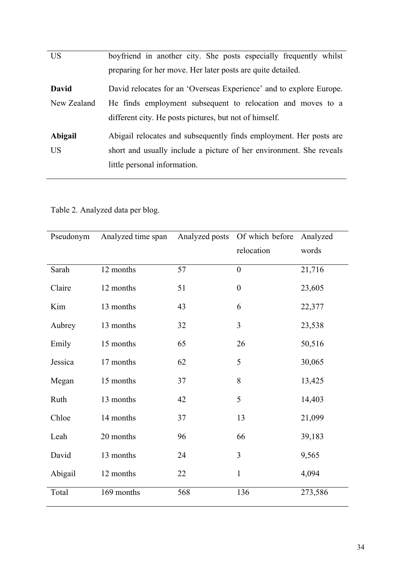| <b>US</b>   | boyfriend in another city. She posts especially frequently whilst   |  |  |  |  |
|-------------|---------------------------------------------------------------------|--|--|--|--|
|             | preparing for her move. Her later posts are quite detailed.         |  |  |  |  |
| David       | David relocates for an 'Overseas Experience' and to explore Europe. |  |  |  |  |
| New Zealand | He finds employment subsequent to relocation and moves to a         |  |  |  |  |
|             | different city. He posts pictures, but not of himself.              |  |  |  |  |
| Abigail     | Abigail relocates and subsequently finds employment. Her posts are  |  |  |  |  |
| US          | short and usually include a picture of her environment. She reveals |  |  |  |  |
|             | little personal information.                                        |  |  |  |  |
|             |                                                                     |  |  |  |  |

Table 2. Analyzed data per blog.

| Pseudonym | Analyzed time span | Analyzed posts | Of which before  | Analyzed |
|-----------|--------------------|----------------|------------------|----------|
|           |                    |                | relocation       | words    |
| Sarah     | 12 months          | 57             | $\mathbf{0}$     | 21,716   |
| Claire    | 12 months          | 51             | $\boldsymbol{0}$ | 23,605   |
| Kim       | 13 months          | 43             | 6                | 22,377   |
| Aubrey    | 13 months          | 32             | $\overline{3}$   | 23,538   |
| Emily     | 15 months          | 65             | 26               | 50,516   |
| Jessica   | 17 months          | 62             | 5                | 30,065   |
| Megan     | 15 months          | 37             | 8                | 13,425   |
| Ruth      | 13 months          | 42             | 5                | 14,403   |
| Chloe     | 14 months          | 37             | 13               | 21,099   |
| Leah      | 20 months          | 96             | 66               | 39,183   |
| David     | 13 months          | 24             | $\overline{3}$   | 9,565    |
| Abigail   | 12 months          | 22             | $\mathbf{1}$     | 4,094    |
| Total     | 169 months         | 568            | 136              | 273,586  |